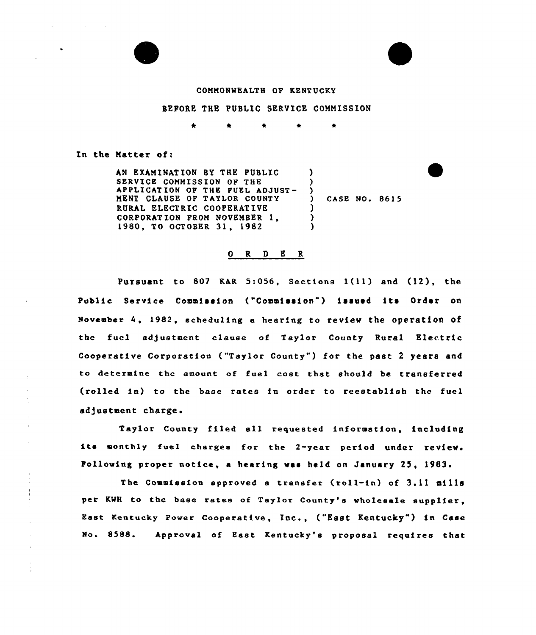



## COMMONNEALTH OF KENTUCKY

#### BEFORE THE PUBLIC SERVICE COMMISSION

\* \* \*

In the Matter of:

AN EXAMINATION BY THE PUBLIC SERVICE COMMISSION OF THE APPLICATION OF THE FUEL ADJUST-MENT CLAUSE OF TAYLOR COUNTY RURAL ELECTRIC COOPERATIVE CORPORATION PROM NOVEMBER 1, 1980, TO OCTOBER 31, 1982 ) ) ) ) CASE NO. 861 5 ) ) )

#### ORDER

Pursuant to 807 KAR 5:056, Sections 1(11) and (12), the Public Service Commission ("Commission") issued its Order on November 4, 1982, scheduling a hearing to review the operation of the fuel ad)ustment clause of Taylor County Rural Electric Cooperative Corporation ("Taylor County" ) for the past <sup>2</sup> years and to determine the amount of fuel cost that should be transferred (rolled in) to the base rates in order to reeetablish the fuel adjustment charge.

Taylor County filed all requested information, including its monthly fuel charges for the 2-year period under review. Following proper notice, <sup>a</sup> hearing wss held on January 25, 1983.

The Commission approved <sup>a</sup> transfer (roll-in) of 3.11 mills per KWH to the base rates of Taylor County's wholesale supplier, East Kentucky Power Cooperative, Inc., ("East Kentucky" ) in Case No. 8588. Approval of East Kentucky's proposal requires that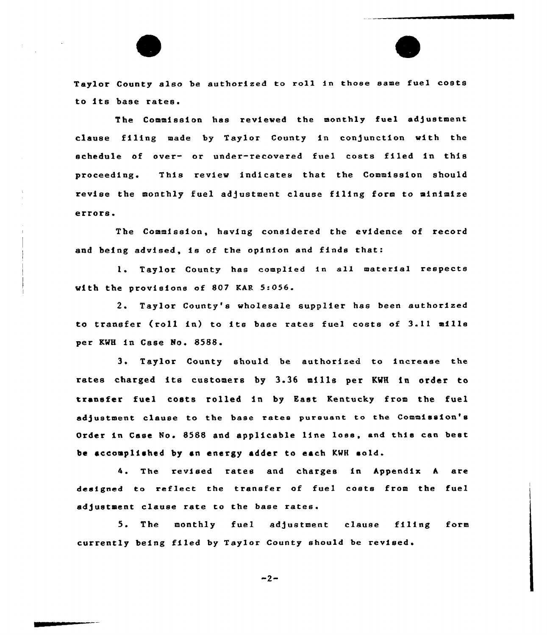Taylor County also be authorized to roll in those same fuel costs to its base rates.

The Commission has reviewed the monthly fuel adjustment clause filing made by Taylor County in con)unction with the schedule of over- or under-recovered fuel costs filed in this proceeding. This review indicates that the Commission should revise the monthly fuel adjustment clause filing form to minimize errors.

The Commission, having considered the evidence of record and being advised, is of the opinion and finds that:

1. Taylor County has complied in all material respects with the provisions of 807 KAR 5:056.

2. Taylor County's wholesale supplier has been authorized to transfer (roll in) to its base rates fuel costs of 3.11 mills per KWH in Case No. 8588.

3 <sup>~</sup> Taylor County should be authorized to increase the rates charged its customers by 3.36 mills per KWH in order to transfer fuel costs rolled in by East Kentucky from the fuel adjustment clause to the base rates pursuant to the Commission's Order in Case No. 8588 and applicable line loss, and this can best be accomplished by an energy adder to each KWH sold.

4. The revised rates and charges in Appendix <sup>h</sup> are designed to reflect the transfer of fuel costs from the fuel adjustment clause rate to the base rates.

5. The monthly fuel adjustment clause filing form currently being filed by Taylor County should be revised'

 $-2-$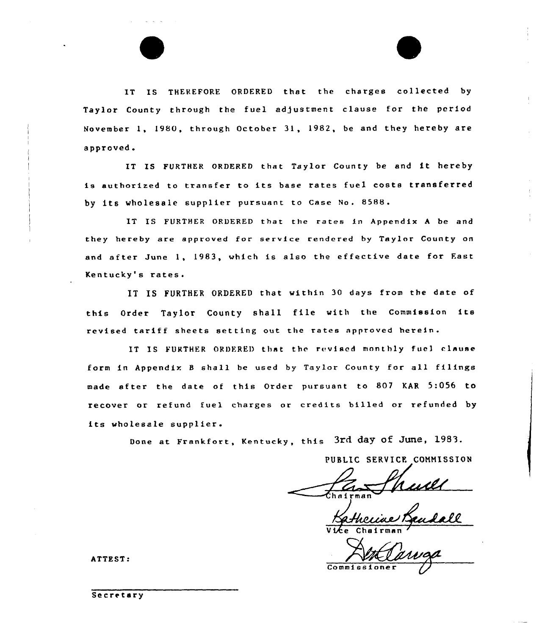IT IS THEREFORE ORDERED that the charges collected by Taylor County through the fuel adjustment clause for the period November 1, 1980, through October 31, 1982, be and they hereby are approved.

IT IS FURTHER ORDERED that Taylor County be and it hereby is authorized to transfer to its base rates fuel costs transferred by its wholesale supplier pursuant to Case No. 8588.

IT IS FURTHER ORDERED that the rates in Appendix <sup>A</sup> be and they hereby are approved for service rendered by Taylor County on and after June 1, 1983, which is also the effective date for Fast Kentucky's rates.

IT IS FURTHER ORDERED that within 30 days from the date of this Order Taylor County shall file with the Commission its revised tariff sheets setting out the rates approved herein.

IT IS FURTHER ORDERED that the revised monthly fuel clause form in Appendix <sup>B</sup> shall be used by Taylor County for sll filings made after the date of this Order pursuant to 807 KAR 5:056 to recover or refund fuel charges or credits billed or refunded by its wholesale supplier.

Done at Frankfort, Kentucky, this 3rd day of June, 1983.

PUBLIC SERVICE COMMISSION

Vice Chairman

Commission

ATTEST:

Secretary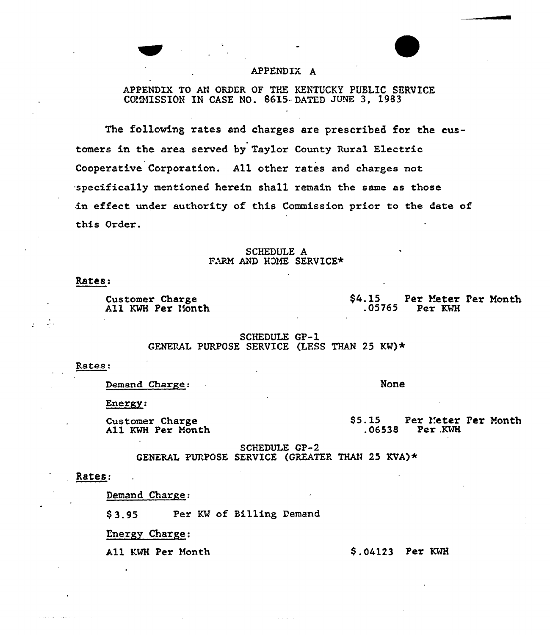## APPENDIX A

APPENDIX TO AN ORDER OF THE KENTUCKY PUBLIC SERVICE COMMISSION IN CASE NO. 8615 DATED JUNE 3, 1983

The following rates and charges are prescribed for the customers in the area served by Taylor County Rural Electric Cooperative Corporation. All other rates and charges not specifically mentioned herein shall remain the same as those in effect under authority of this Commission prior to the date of this Order.

> SCHEDULE A FARM AND HOME SERVICE\*

## Rates:

Д,

Customer Charge All KWH Per Month  $$4.15$ Per Meter Per Month  $.05765$ Per KWH

**SCHEDULE GP-1** GENERAL PURPOSE SERVICE (LESS THAN 25 KW)\*

#### Rates:

Demand Charge:

None

Energy:

Customer Charge All KWH Per Month  $$5.15$ Per Meter Per Month  $.06538$  Per KWH

**SCHEDULE GP-2** GENERAL PURPOSE SERVICE (GREATER THAN 25 KVA)  $\star$ 

### Rates:

Demand Charge:

Per KW of Billing Demand  $$3.95$ 

Energy Charge:

All KWH Per Month

 $$.04123$  Per KWH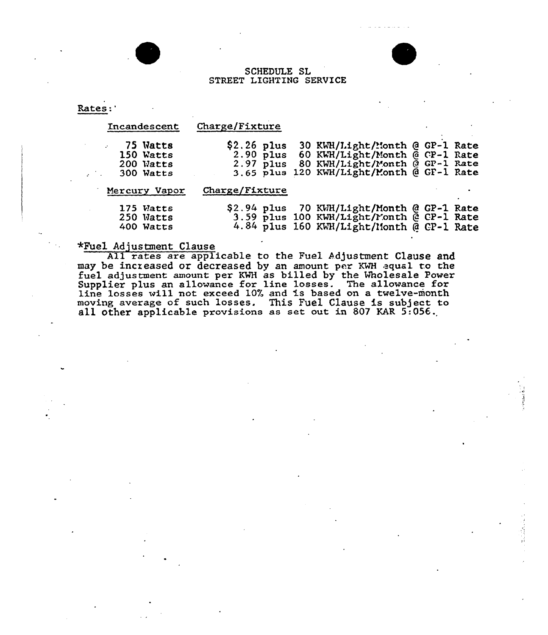## SCHEDULE SL STREET LIGHTING SERVICE

Rates:

| Incandescent                                    | Charge/Fixture                             |                                                                                                                                                 |  |  |
|-------------------------------------------------|--------------------------------------------|-------------------------------------------------------------------------------------------------------------------------------------------------|--|--|
| 75 Watts<br>150 Watts<br>200 Watts<br>300 Watts | $$2.26$ plus<br>$2.90$ plus<br>$2.97$ plus | 30 KWH/Light/Month @ GP-1 Rate<br>60 KWH/Light/Month @ CP-1 Rate<br>80 KWH/Light/Month @ GP-1 Rate<br>3.65 plus 120 KWH/Light/Month @ GF-1 Rate |  |  |
| Mercury Vapor                                   | Charge/Fixture                             |                                                                                                                                                 |  |  |
| 175 Watts<br>250 Watts<br>400 Watts             |                                            | \$2.94 plus 70 KWH/Light/Month @ GP-1 Rate<br>3.59 plus 100 KWH/Light/Month @ CP-1 Rate<br>4.84 plus 160 KWH/Light/Month @ CP-1 Rate            |  |  |

# +Fuel Adjustment Clause

All rates are applicable to the Fuel Adjustment Clause and may be increased ox decreased by an amount per KWH qual to the fuel adjustment amount per KWH as billed by the Wholesale Power Ener adjustment amount per KWH as since by the MRSTESHIC rowline losses will not exceed 10% and is based on a twelve-month moving average of such losses. This Fuel Clause is subject to all other applicable provisions as set out in 807 KAR 5:056.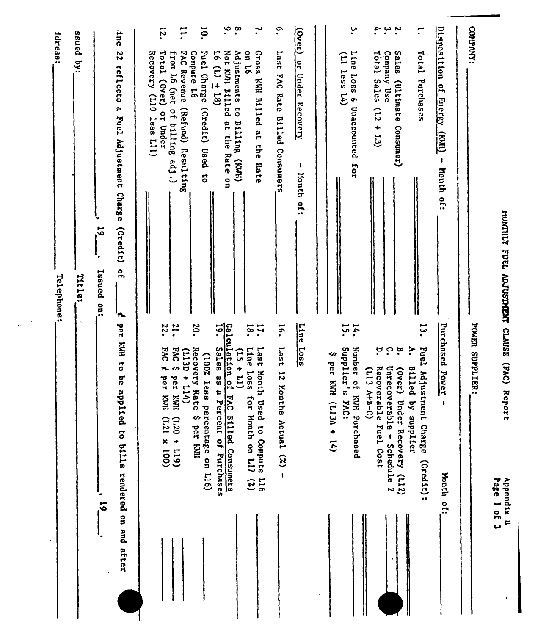| plied to bills rendered on and after<br>.<br>ಎ<br>$\ddot{\cdot}$ | per<br>Calculation of<br>Line<br>14.<br><b>22.</b><br>51.<br>$\ddot{\phantom{0}}$<br>18.<br>16.<br>ដុ<br>30.<br>17.<br>KAR<br>5907<br>Sales as a<br><u>່ດ</u><br>$\ddot{\cdot}$<br>Line Loss<br><b>Last</b><br>p.<br>Fuel<br><b>FAC</b><br><b>EAC</b><br>Recovery Rate<br>Last Month<br>Supplier's<br>Number of<br>័<br>(T13D)<br>$\widehat{E}$<br>(100% less<br>↭<br>$\overline{\mathbf{c}}$<br>per KWH<br>↭<br>$+11)$<br>n.<br>Recoverable Fuel Cost<br><b>Unrecov</b><br><b>Billed</b><br>$(0$ ver)<br>(T13)<br>Ndjusti<br>12 Mon<br>$+114$<br>per KMI<br><b>be</b><br>per<br>$(3 - 8 + V)$<br>$\frac{e}{2}$<br>KMH Purchased<br>HMX<br>Ē,<br>E,<br>Percent of Purchases<br>AC Billed Consumers<br>or Month on L17<br>Used to Compute L16<br>ths Actual $(2)$ -<br>$(113A + 14)$<br>FAC:<br>crable - Schedule 2<br>Under Recovery (L12)<br>by supplier<br>ment Charge<br>percentage on L16)<br>$(001 \times 127)$<br>∽<br>$(611 + 027)$<br>per KWII<br>$\mathbf{\hat{z}}$ | $(0$ ver)<br><b>l</b> ne<br>panss<br>jdress:<br>$16$ (17 $\pm$ 18)<br>on 16<br>ssozg<br>22<br>Total (Over)<br>from L6 (net of billing adj.)<br>Fuel Charge (Credit) Used<br>Net KMI Dilled<br>of instruents to<br>Last FAC Rate Billed Consumers<br>Line Loss &<br>Total Sales<br>Company Use<br>Sales<br>Recovery (L10 less L11)<br><b>DAG</b><br>Compute L6<br>Total<br>$(11)$ less $14)$<br>$\mathbf{g}$<br>$\overline{a}$<br>reflects<br>Revenue<br><b>Under Recovery</b><br>KWH Billed at the<br>Purchases<br>(Ultimate)<br>œ<br>(Refund) Resulting<br>Unaccounted<br>(12)<br>or Under<br>Fuel Adjustment Charge<br><b>ButI110</b><br>at the<br>Comsumer)<br>$+13$<br>Rate<br>(HMX)<br><b>Rate</b><br>for<br>$\mathbf{I}$<br>$\ddot{\circ}$<br>llonth of:<br>g<br>$\overline{6}$<br>(21)<br>$\frac{1}{2}$<br>Issued on:<br>Title:<br>Telephone:<br>'n | $\cdot$<br>$\cdot^{\infty}$<br>$\cdot$<br>÷,<br>a uْ<br>ō.<br>$\mathbf{H}$<br>ِب.<br>÷.<br>$\tilde{\mathbf{z}}$<br>F |
|------------------------------------------------------------------|------------------------------------------------------------------------------------------------------------------------------------------------------------------------------------------------------------------------------------------------------------------------------------------------------------------------------------------------------------------------------------------------------------------------------------------------------------------------------------------------------------------------------------------------------------------------------------------------------------------------------------------------------------------------------------------------------------------------------------------------------------------------------------------------------------------------------------------------------------------------------------------------------------------------------------------------------------------------------|------------------------------------------------------------------------------------------------------------------------------------------------------------------------------------------------------------------------------------------------------------------------------------------------------------------------------------------------------------------------------------------------------------------------------------------------------------------------------------------------------------------------------------------------------------------------------------------------------------------------------------------------------------------------------------------------------------------------------------------------------------------------------------------------------------------------------------------------------------|----------------------------------------------------------------------------------------------------------------------|
| Month of:                                                        | Purchased<br>Power<br>$(215)$ :                                                                                                                                                                                                                                                                                                                                                                                                                                                                                                                                                                                                                                                                                                                                                                                                                                                                                                                                              | Disposition<br>$\overline{5}$<br><b>Energy</b><br>TIMN)<br>$\pmb{\cdot}$<br><b>Month</b> of:                                                                                                                                                                                                                                                                                                                                                                                                                                                                                                                                                                                                                                                                                                                                                               |                                                                                                                      |
| Page 1 of 3<br>Appendix B<br>$\pmb{\cdot}$                       | POWER SUPPLIER:                                                                                                                                                                                                                                                                                                                                                                                                                                                                                                                                                                                                                                                                                                                                                                                                                                                                                                                                                              | COMPANY:<br>HOMILLY FUEL ADJUSTMENT CLAUSE (FAC) Report                                                                                                                                                                                                                                                                                                                                                                                                                                                                                                                                                                                                                                                                                                                                                                                                    |                                                                                                                      |

 $\frac{1}{2\pi} \left( \frac{1}{\sqrt{2}} \right)$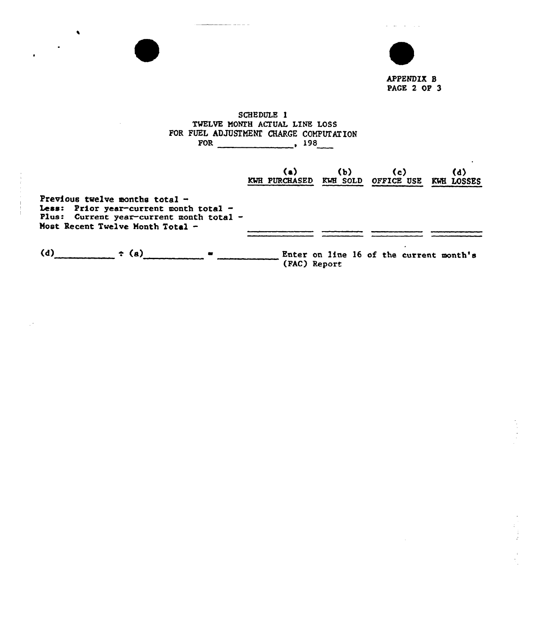

 $\alpha$  ) and  $\alpha$  are  $\beta$  ,  $\alpha$ 

**Carl** 

## SCHEDULE 1 TWELVE MONTH ACTUAL LINE LOSS FOR FUEL ADJUSTMENT CHARGE COMPUTATION FOR 198

------

 $\bullet$ 

|                                                                                                                                                              | (a)<br><b>KWH PURCHASED</b> | (b)<br>KWH SOLD | (c)<br>OFFICE USE                       | (d)<br>KWH LOSSES |
|--------------------------------------------------------------------------------------------------------------------------------------------------------------|-----------------------------|-----------------|-----------------------------------------|-------------------|
| Previous twelve months total $-$<br>Less: Prior year-current month total -<br>Plus: Current year-current month total -<br>Most Recent Twelve Month Total $-$ |                             |                 |                                         |                   |
| (d)<br>$\div$ (a)<br>$\mathbf{m}$                                                                                                                            | (FAC) Report                |                 | Enter on line 16 of the current month's |                   |